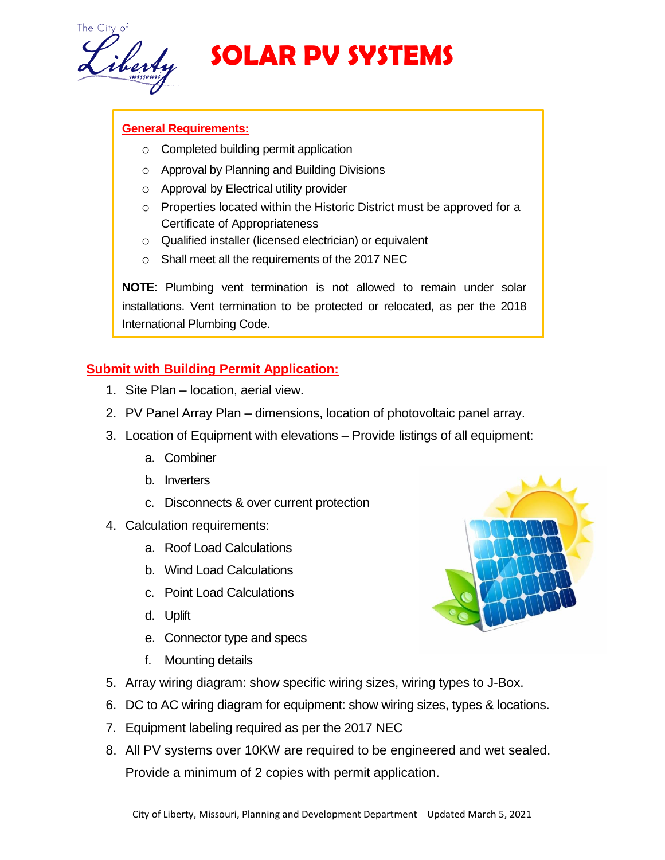

# **SOLAR PV SYSTEMS**

#### **General Requirements:**

- o Completed building permit application
- o Approval by Planning and Building Divisions
- o Approval by Electrical utility provider
- o Properties located within the Historic District must be approved for a Certificate of Appropriateness
- o Qualified installer (licensed electrician) or equivalent
- o Shall meet all the requirements of the 2017 NEC

**NOTE**: Plumbing vent termination is not allowed to remain under solar installations. Vent termination to be protected or relocated, as per the 2018 International Plumbing Code.

## **Submit with Building Permit Application:**

- 1. Site Plan location, aerial view.
- 2. PV Panel Array Plan dimensions, location of photovoltaic panel array.
- 3. Location of Equipment with elevations Provide listings of all equipment:
	- a. Combiner
	- b. Inverters
	- c. Disconnects & over current protection
- 4. Calculation requirements:
	- a. Roof Load Calculations
	- b. Wind Load Calculations
	- c. Point Load Calculations
	- d. Uplift
	- e. Connector type and specs
	- f. Mounting details
- 5. Array wiring diagram: show specific wiring sizes, wiring types to J-Box.
- 6. DC to AC wiring diagram for equipment: show wiring sizes, types & locations.
- 7. Equipment labeling required as per the 2017 NEC
- 8. All PV systems over 10KW are required to be engineered and wet sealed. Provide a minimum of 2 copies with permit application.